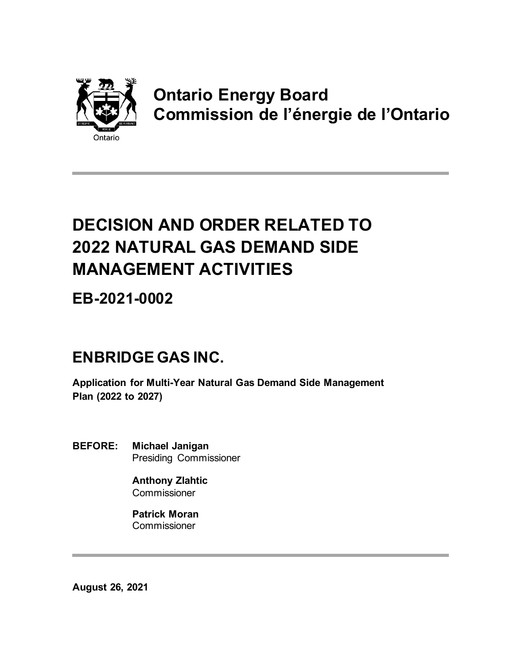

# **Ontario Energy Board Commission de l'énergie de l'Ontario**

# **DECISION AND ORDER RELATED TO 2022 NATURAL GAS DEMAND SIDE MANAGEMENT ACTIVITIES**

**EB-2021-0002**

# **ENBRIDGE GAS INC.**

**Application for Multi-Year Natural Gas Demand Side Management Plan (2022 to 2027)**

**BEFORE: Michael Janigan** Presiding Commissioner

> **Anthony Zlahtic Commissioner**

**Patrick Moran Commissioner** 

**August 26, 2021**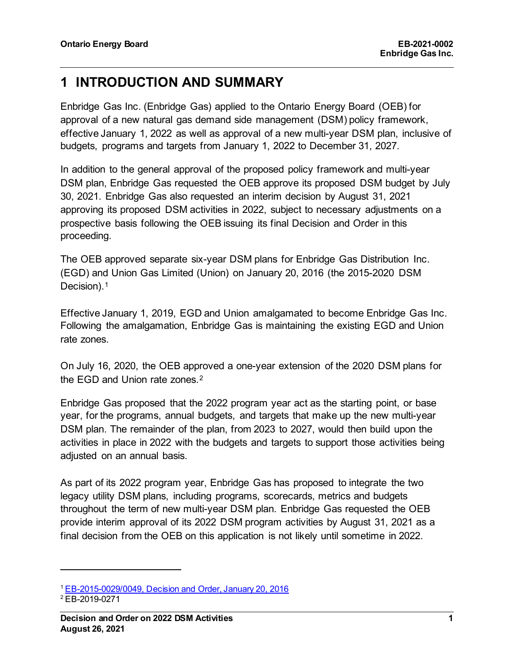## **1 INTRODUCTION AND SUMMARY**

Enbridge Gas Inc. (Enbridge Gas) applied to the Ontario Energy Board (OEB) for approval of a new natural gas demand side management (DSM) policy framework, effective January 1, 2022 as well as approval of a new multi-year DSM plan, inclusive of budgets, programs and targets from January 1, 2022 to December 31, 2027.

In addition to the general approval of the proposed policy framework and multi-year DSM plan, Enbridge Gas requested the OEB approve its proposed DSM budget by July 30, 2021. Enbridge Gas also requested an interim decision by August 31, 2021 approving its proposed DSM activities in 2022, subject to necessary adjustments on a prospective basis following the OEB issuing its final Decision and Order in this proceeding.

The OEB approved separate six-year DSM plans for Enbridge Gas Distribution Inc. (EGD) and Union Gas Limited (Union) on January 20, 2016 (the 2015-2020 DSM Decision).<sup>[1](#page-1-0)</sup>

Effective January 1, 2019, EGD and Union amalgamated to become Enbridge Gas Inc. Following the amalgamation, Enbridge Gas is maintaining the existing EGD and Union rate zones.

On July 16, 2020, the OEB approved a one-year extension of the 2020 DSM plans for the EGD and Union rate zones.<sup>[2](#page-1-1)</sup>

Enbridge Gas proposed that the 2022 program year act as the starting point, or base year, for the programs, annual budgets, and targets that make up the new multi-year DSM plan. The remainder of the plan, from 2023 to 2027, would then build upon the activities in place in 2022 with the budgets and targets to support those activities being adjusted on an annual basis.

As part of its 2022 program year, Enbridge Gas has proposed to integrate the two legacy utility DSM plans, including programs, scorecards, metrics and budgets throughout the term of new multi-year DSM plan. Enbridge Gas requested the OEB provide interim approval of its 2022 DSM program activities by August 31, 2021 as a final decision from the OEB on this application is not likely until sometime in 2022.

<span id="page-1-0"></span><sup>1</sup> EB-2015-0029/0049, Decision and Order, January 20, 2016

<span id="page-1-1"></span><sup>2</sup> EB-2019-0271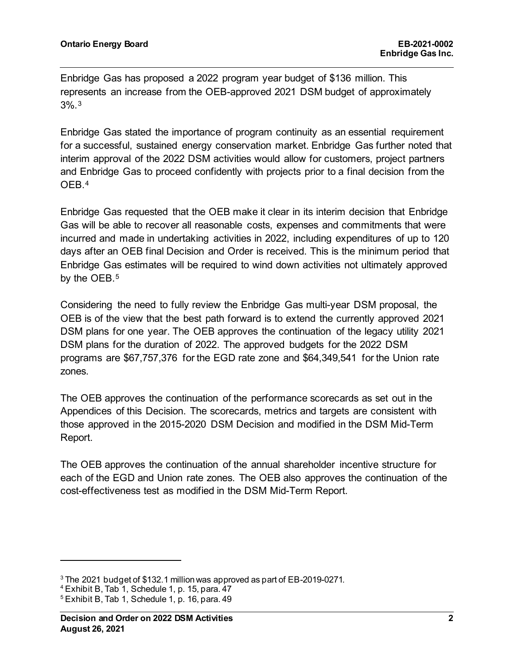Enbridge Gas has proposed a 2022 program year budget of \$136 million. This represents an increase from the OEB-approved 2021 DSM budget of approximately 3%.[3](#page-2-0)

Enbridge Gas stated the importance of program continuity as an essential requirement for a successful, sustained energy conservation market. Enbridge Gas further noted that interim approval of the 2022 DSM activities would allow for customers, project partners and Enbridge Gas to proceed confidently with projects prior to a final decision from the OEB.[4](#page-2-1)

Enbridge Gas requested that the OEB make it clear in its interim decision that Enbridge Gas will be able to recover all reasonable costs, expenses and commitments that were incurred and made in undertaking activities in 2022, including expenditures of up to 120 days after an OEB final Decision and Order is received. This is the minimum period that Enbridge Gas estimates will be required to wind down activities not ultimately approved by the OEB.<sup>[5](#page-2-2)</sup>

Considering the need to fully review the Enbridge Gas multi-year DSM proposal, the OEB is of the view that the best path forward is to extend the currently approved 2021 DSM plans for one year. The OEB approves the continuation of the legacy utility 2021 DSM plans for the duration of 2022. The approved budgets for the 2022 DSM programs are \$67,757,376 for the EGD rate zone and \$64,349,541 for the Union rate zones.

The OEB approves the continuation of the performance scorecards as set out in the Appendices of this Decision. The scorecards, metrics and targets are consistent with those approved in the 2015-2020 DSM Decision and modified in the DSM Mid-Term Report.

The OEB approves the continuation of the annual shareholder incentive structure for each of the EGD and Union rate zones. The OEB also approves the continuation of the cost-effectiveness test as modified in the DSM Mid-Term Report.

<span id="page-2-1"></span><sup>4</sup> Exhibit B, Tab 1, Schedule 1, p. 15, para. 47

<span id="page-2-0"></span><sup>3</sup> The 2021 budget of \$132.1 million was approved as part of EB-2019-0271.

<span id="page-2-2"></span> $5$  Exhibit B, Tab 1, Schedule 1, p. 16, para. 49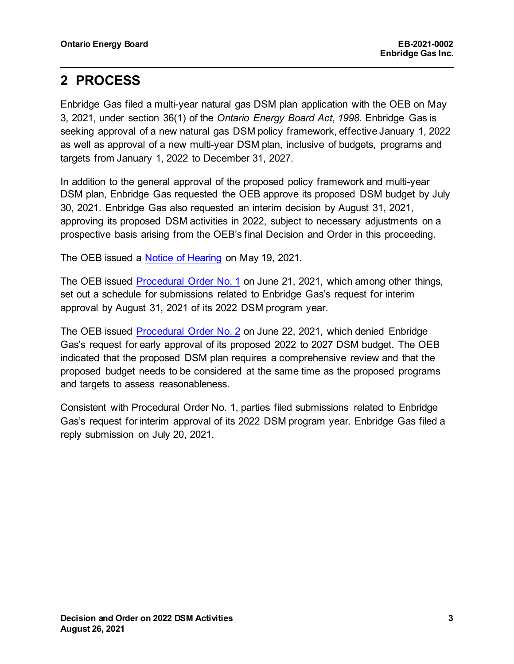# **2 PROCESS**

Enbridge Gas filed a multi-year natural gas DSM plan application with the OEB on May 3, 2021, under section 36(1) of the *Ontario Energy Board Act*, *1998*. Enbridge Gas is seeking approval of a new natural gas DSM policy framework, effective January 1, 2022 as well as approval of a new multi-year DSM plan, inclusive of budgets, programs and targets from January 1, 2022 to December 31, 2027.

In addition to the general approval of the proposed policy framework and multi-year DSM plan, Enbridge Gas requested the OEB approve its proposed DSM budget by July 30, 2021. Enbridge Gas also requested an interim decision by August 31, 2021, approving its proposed DSM activities in 2022, subject to necessary adjustments on a prospective basis arising from the OEB's final Decision and Order in this proceeding.

The OEB issued a [Notice of Hearing](about:blank) on May 19, 2021*.*

The OEB issued [Procedural Order No. 1](about:blank) on June 21, 2021, which among other things, set out a schedule for submissions related to Enbridge Gas's request for interim approval by August 31, 2021 of its 2022 DSM program year.

The OEB issued [Procedural Order No. 2](about:blank) on June 22, 2021, which denied Enbridge Gas's request for early approval of its proposed 2022 to 2027 DSM budget. The OEB indicated that the proposed DSM plan requires a comprehensive review and that the proposed budget needs to be considered at the same time as the proposed programs and targets to assess reasonableness.

Consistent with Procedural Order No. 1, parties filed submissions related to Enbridge Gas's request for interim approval of its 2022 DSM program year. Enbridge Gas filed a reply submission on July 20, 2021.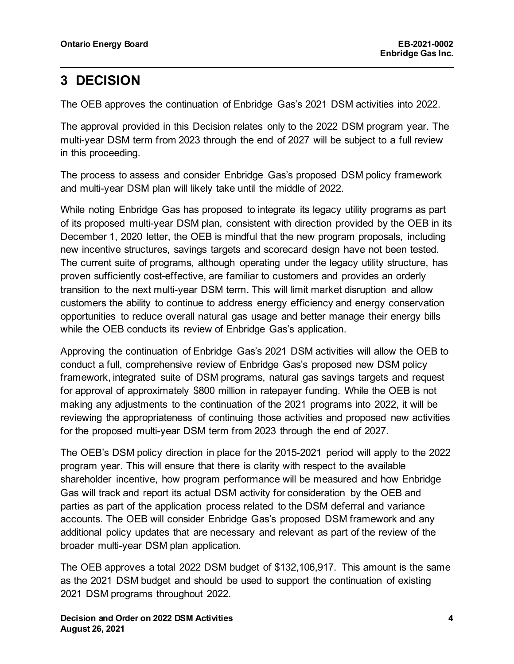# **3 DECISION**

The OEB approves the continuation of Enbridge Gas's 2021 DSM activities into 2022.

The approval provided in this Decision relates only to the 2022 DSM program year. The multi-year DSM term from 2023 through the end of 2027 will be subject to a full review in this proceeding.

The process to assess and consider Enbridge Gas's proposed DSM policy framework and multi-year DSM plan will likely take until the middle of 2022.

While noting Enbridge Gas has proposed to integrate its legacy utility programs as part of its proposed multi-year DSM plan, consistent with direction provided by the OEB in its December 1, 2020 letter, the OEB is mindful that the new program proposals, including new incentive structures, savings targets and scorecard design have not been tested. The current suite of programs, although operating under the legacy utility structure, has proven sufficiently cost-effective, are familiar to customers and provides an orderly transition to the next multi-year DSM term. This will limit market disruption and allow customers the ability to continue to address energy efficiency and energy conservation opportunities to reduce overall natural gas usage and better manage their energy bills while the OEB conducts its review of Enbridge Gas's application.

Approving the continuation of Enbridge Gas's 2021 DSM activities will allow the OEB to conduct a full, comprehensive review of Enbridge Gas's proposed new DSM policy framework, integrated suite of DSM programs, natural gas savings targets and request for approval of approximately \$800 million in ratepayer funding. While the OEB is not making any adjustments to the continuation of the 2021 programs into 2022, it will be reviewing the appropriateness of continuing those activities and proposed new activities for the proposed multi-year DSM term from 2023 through the end of 2027.

The OEB's DSM policy direction in place for the 2015-2021 period will apply to the 2022 program year. This will ensure that there is clarity with respect to the available shareholder incentive, how program performance will be measured and how Enbridge Gas will track and report its actual DSM activity for consideration by the OEB and parties as part of the application process related to the DSM deferral and variance accounts. The OEB will consider Enbridge Gas's proposed DSM framework and any additional policy updates that are necessary and relevant as part of the review of the broader multi-year DSM plan application.

The OEB approves a total 2022 DSM budget of \$132,106,917. This amount is the same as the 2021 DSM budget and should be used to support the continuation of existing 2021 DSM programs throughout 2022.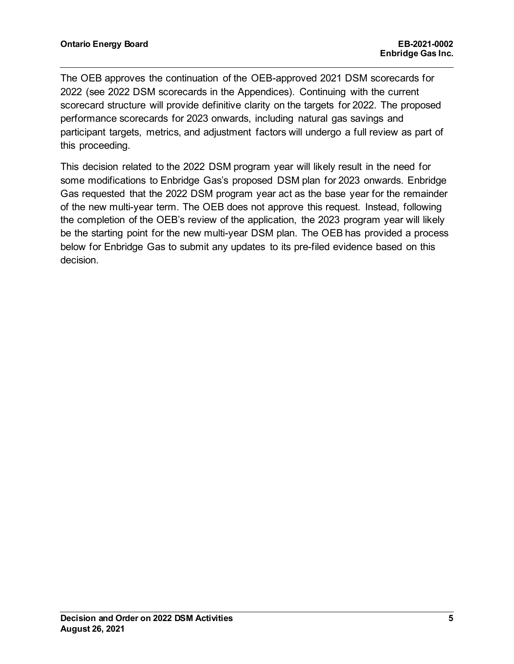The OEB approves the continuation of the OEB-approved 2021 DSM scorecards for 2022 (see 2022 DSM scorecards in the Appendices). Continuing with the current scorecard structure will provide definitive clarity on the targets for 2022. The proposed performance scorecards for 2023 onwards, including natural gas savings and participant targets, metrics, and adjustment factors will undergo a full review as part of this proceeding.

This decision related to the 2022 DSM program year will likely result in the need for some modifications to Enbridge Gas's proposed DSM plan for 2023 onwards. Enbridge Gas requested that the 2022 DSM program year act as the base year for the remainder of the new multi-year term. The OEB does not approve this request. Instead, following the completion of the OEB's review of the application, the 2023 program year will likely be the starting point for the new multi-year DSM plan. The OEB has provided a process below for Enbridge Gas to submit any updates to its pre-filed evidence based on this decision.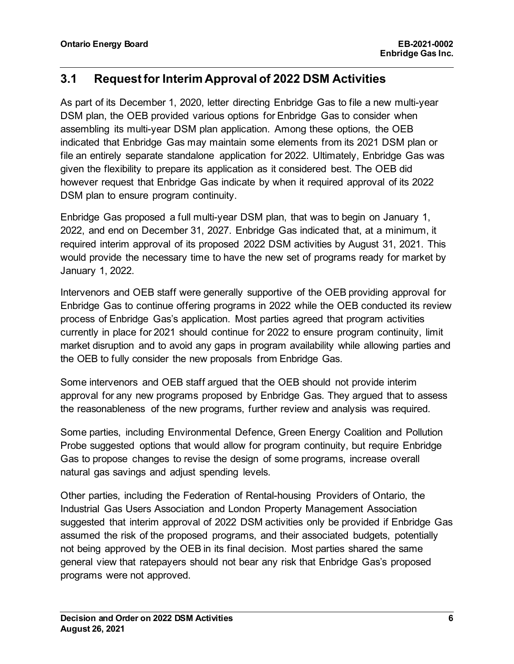### **3.1 Request for Interim Approval of 2022 DSM Activities**

As part of its December 1, 2020, letter directing Enbridge Gas to file a new multi-year DSM plan, the OEB provided various options for Enbridge Gas to consider when assembling its multi-year DSM plan application. Among these options, the OEB indicated that Enbridge Gas may maintain some elements from its 2021 DSM plan or file an entirely separate standalone application for 2022. Ultimately, Enbridge Gas was given the flexibility to prepare its application as it considered best. The OEB did however request that Enbridge Gas indicate by when it required approval of its 2022 DSM plan to ensure program continuity.

Enbridge Gas proposed a full multi-year DSM plan, that was to begin on January 1, 2022, and end on December 31, 2027. Enbridge Gas indicated that, at a minimum, it required interim approval of its proposed 2022 DSM activities by August 31, 2021. This would provide the necessary time to have the new set of programs ready for market by January 1, 2022.

Intervenors and OEB staff were generally supportive of the OEB providing approval for Enbridge Gas to continue offering programs in 2022 while the OEB conducted its review process of Enbridge Gas's application. Most parties agreed that program activities currently in place for 2021 should continue for 2022 to ensure program continuity, limit market disruption and to avoid any gaps in program availability while allowing parties and the OEB to fully consider the new proposals from Enbridge Gas.

Some intervenors and OEB staff argued that the OEB should not provide interim approval for any new programs proposed by Enbridge Gas. They argued that to assess the reasonableness of the new programs, further review and analysis was required.

Some parties, including Environmental Defence, Green Energy Coalition and Pollution Probe suggested options that would allow for program continuity, but require Enbridge Gas to propose changes to revise the design of some programs, increase overall natural gas savings and adjust spending levels.

Other parties, including the Federation of Rental-housing Providers of Ontario, the Industrial Gas Users Association and London Property Management Association suggested that interim approval of 2022 DSM activities only be provided if Enbridge Gas assumed the risk of the proposed programs, and their associated budgets, potentially not being approved by the OEB in its final decision. Most parties shared the same general view that ratepayers should not bear any risk that Enbridge Gas's proposed programs were not approved.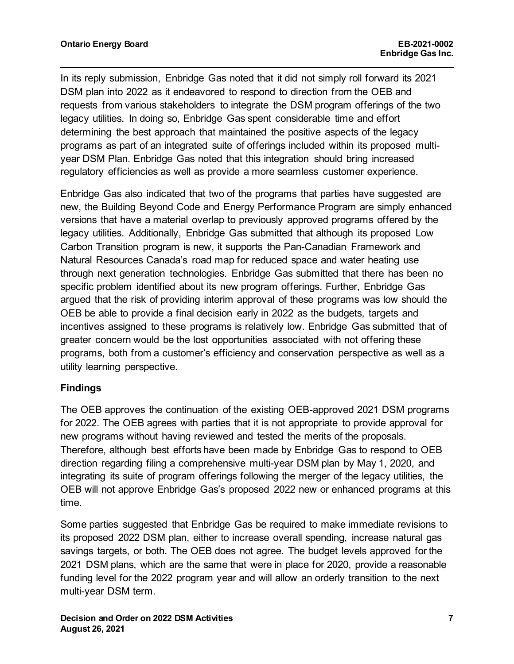In its reply submission, Enbridge Gas noted that it did not simply roll forward its 2021 DSM plan into 2022 as it endeavored to respond to direction from the OEB and requests from various stakeholders to integrate the DSM program offerings of the two legacy utilities. In doing so, Enbridge Gas spent considerable time and effort determining the best approach that maintained the positive aspects of the legacy programs as part of an integrated suite of offerings included within its proposed multiyear DSM Plan. Enbridge Gas noted that this integration should bring increased regulatory efficiencies as well as provide a more seamless customer experience.

Enbridge Gas also indicated that two of the programs that parties have suggested are new, the Building Beyond Code and Energy Performance Program are simply enhanced versions that have a material overlap to previously approved programs offered by the legacy utilities. Additionally, Enbridge Gas submitted that although its proposed Low Carbon Transition program is new, it supports the Pan-Canadian Framework and Natural Resources Canada's road map for reduced space and water heating use through next generation technologies. Enbridge Gas submitted that there has been no specific problem identified about its new program offerings. Further, Enbridge Gas argued that the risk of providing interim approval of these programs was low should the OEB be able to provide a final decision early in 2022 as the budgets, targets and incentives assigned to these programs is relatively low. Enbridge Gas submitted that of greater concern would be the lost opportunities associated with not offering these programs, both from a customer's efficiency and conservation perspective as well as a utility learning perspective.

#### **Findings**

The OEB approves the continuation of the existing OEB-approved 2021 DSM programs for 2022. The OEB agrees with parties that it is not appropriate to provide approval for new programs without having reviewed and tested the merits of the proposals. Therefore, although best efforts have been made by Enbridge Gas to respond to OEB direction regarding filing a comprehensive multi-year DSM plan by May 1, 2020, and integrating its suite of program offerings following the merger of the legacy utilities, the OEB will not approve Enbridge Gas's proposed 2022 new or enhanced programs at this time.

Some parties suggested that Enbridge Gas be required to make immediate revisions to its proposed 2022 DSM plan, either to increase overall spending, increase natural gas savings targets, or both. The OEB does not agree. The budget levels approved for the 2021 DSM plans, which are the same that were in place for 2020, provide a reasonable funding level for the 2022 program year and will allow an orderly transition to the next multi-year DSM term.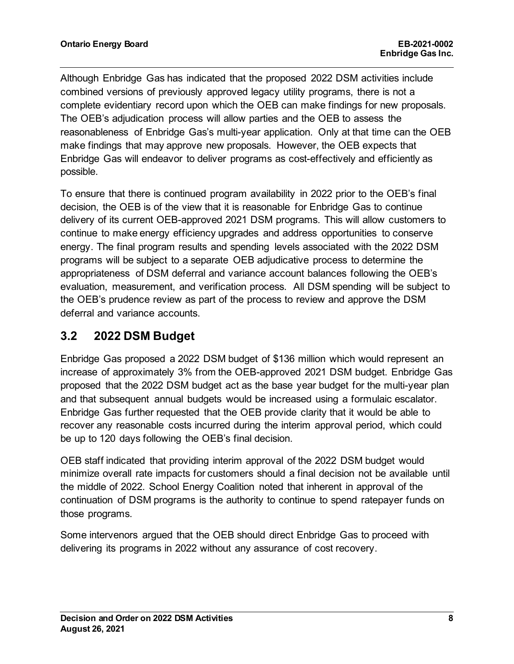Although Enbridge Gas has indicated that the proposed 2022 DSM activities include combined versions of previously approved legacy utility programs, there is not a complete evidentiary record upon which the OEB can make findings for new proposals. The OEB's adjudication process will allow parties and the OEB to assess the reasonableness of Enbridge Gas's multi-year application. Only at that time can the OEB make findings that may approve new proposals. However, the OEB expects that Enbridge Gas will endeavor to deliver programs as cost-effectively and efficiently as possible.

To ensure that there is continued program availability in 2022 prior to the OEB's final decision, the OEB is of the view that it is reasonable for Enbridge Gas to continue delivery of its current OEB-approved 2021 DSM programs. This will allow customers to continue to make energy efficiency upgrades and address opportunities to conserve energy. The final program results and spending levels associated with the 2022 DSM programs will be subject to a separate OEB adjudicative process to determine the appropriateness of DSM deferral and variance account balances following the OEB's evaluation, measurement, and verification process. All DSM spending will be subject to the OEB's prudence review as part of the process to review and approve the DSM deferral and variance accounts.

## **3.2 2022 DSM Budget**

Enbridge Gas proposed a 2022 DSM budget of \$136 million which would represent an increase of approximately 3% from the OEB-approved 2021 DSM budget. Enbridge Gas proposed that the 2022 DSM budget act as the base year budget for the multi-year plan and that subsequent annual budgets would be increased using a formulaic escalator. Enbridge Gas further requested that the OEB provide clarity that it would be able to recover any reasonable costs incurred during the interim approval period, which could be up to 120 days following the OEB's final decision.

OEB staff indicated that providing interim approval of the 2022 DSM budget would minimize overall rate impacts for customers should a final decision not be available until the middle of 2022. School Energy Coalition noted that inherent in approval of the continuation of DSM programs is the authority to continue to spend ratepayer funds on those programs.

Some intervenors argued that the OEB should direct Enbridge Gas to proceed with delivering its programs in 2022 without any assurance of cost recovery.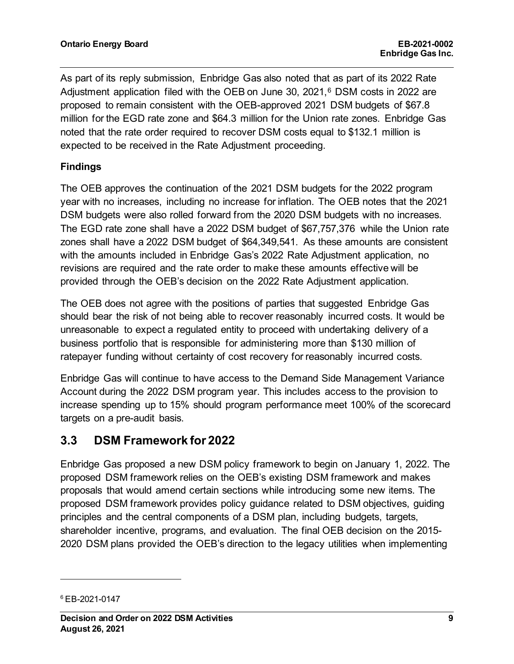As part of its reply submission, Enbridge Gas also noted that as part of its 2022 Rate Adjustment application filed with the OEB on June 30, 2021, $6$  DSM costs in 2022 are proposed to remain consistent with the OEB-approved 2021 DSM budgets of \$67.8 million for the EGD rate zone and \$64.3 million for the Union rate zones. Enbridge Gas noted that the rate order required to recover DSM costs equal to \$132.1 million is expected to be received in the Rate Adjustment proceeding.

#### **Findings**

The OEB approves the continuation of the 2021 DSM budgets for the 2022 program year with no increases, including no increase for inflation. The OEB notes that the 2021 DSM budgets were also rolled forward from the 2020 DSM budgets with no increases. The EGD rate zone shall have a 2022 DSM budget of \$67,757,376 while the Union rate zones shall have a 2022 DSM budget of \$64,349,541. As these amounts are consistent with the amounts included in Enbridge Gas's 2022 Rate Adjustment application, no revisions are required and the rate order to make these amounts effective will be provided through the OEB's decision on the 2022 Rate Adjustment application.

The OEB does not agree with the positions of parties that suggested Enbridge Gas should bear the risk of not being able to recover reasonably incurred costs. It would be unreasonable to expect a regulated entity to proceed with undertaking delivery of a business portfolio that is responsible for administering more than \$130 million of ratepayer funding without certainty of cost recovery for reasonably incurred costs.

Enbridge Gas will continue to have access to the Demand Side Management Variance Account during the 2022 DSM program year. This includes access to the provision to increase spending up to 15% should program performance meet 100% of the scorecard targets on a pre-audit basis.

### **3.3 DSM Framework for 2022**

Enbridge Gas proposed a new DSM policy framework to begin on January 1, 2022. The proposed DSM framework relies on the OEB's existing DSM framework and makes proposals that would amend certain sections while introducing some new items. The proposed DSM framework provides policy guidance related to DSM objectives, guiding principles and the central components of a DSM plan, including budgets, targets, shareholder incentive, programs, and evaluation. The final OEB decision on the 2015- 2020 DSM plans provided the OEB's direction to the legacy utilities when implementing

<span id="page-9-0"></span><sup>6</sup> EB-2021-0147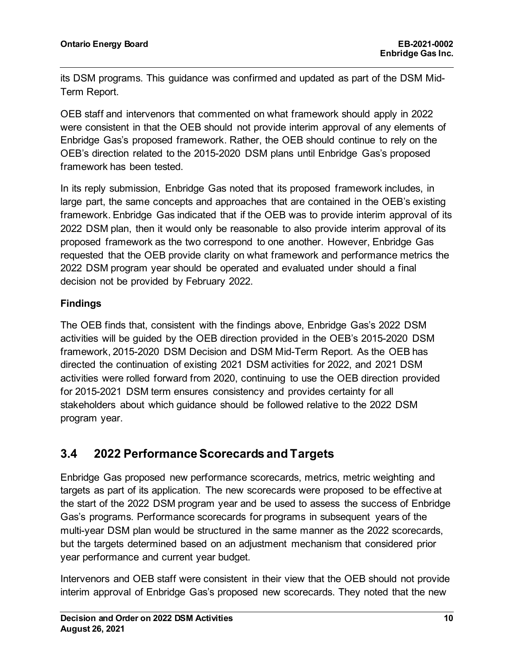its DSM programs. This guidance was confirmed and updated as part of the DSM Mid-Term Report.

OEB staff and intervenors that commented on what framework should apply in 2022 were consistent in that the OEB should not provide interim approval of any elements of Enbridge Gas's proposed framework. Rather, the OEB should continue to rely on the OEB's direction related to the 2015-2020 DSM plans until Enbridge Gas's proposed framework has been tested.

In its reply submission, Enbridge Gas noted that its proposed framework includes, in large part, the same concepts and approaches that are contained in the OEB's existing framework. Enbridge Gas indicated that if the OEB was to provide interim approval of its 2022 DSM plan, then it would only be reasonable to also provide interim approval of its proposed framework as the two correspond to one another. However, Enbridge Gas requested that the OEB provide clarity on what framework and performance metrics the 2022 DSM program year should be operated and evaluated under should a final decision not be provided by February 2022.

#### **Findings**

The OEB finds that, consistent with the findings above, Enbridge Gas's 2022 DSM activities will be guided by the OEB direction provided in the OEB's 2015-2020 DSM framework, 2015-2020 DSM Decision and DSM Mid-Term Report. As the OEB has directed the continuation of existing 2021 DSM activities for 2022, and 2021 DSM activities were rolled forward from 2020, continuing to use the OEB direction provided for 2015-2021 DSM term ensures consistency and provides certainty for all stakeholders about which guidance should be followed relative to the 2022 DSM program year.

## **3.4 2022 Performance Scorecards and Targets**

Enbridge Gas proposed new performance scorecards, metrics, metric weighting and targets as part of its application. The new scorecards were proposed to be effective at the start of the 2022 DSM program year and be used to assess the success of Enbridge Gas's programs. Performance scorecards for programs in subsequent years of the multi-year DSM plan would be structured in the same manner as the 2022 scorecards, but the targets determined based on an adjustment mechanism that considered prior year performance and current year budget.

Intervenors and OEB staff were consistent in their view that the OEB should not provide interim approval of Enbridge Gas's proposed new scorecards. They noted that the new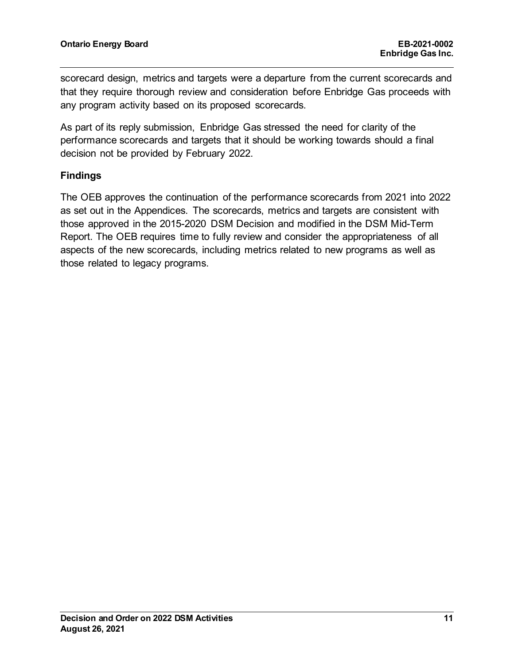scorecard design, metrics and targets were a departure from the current scorecards and that they require thorough review and consideration before Enbridge Gas proceeds with any program activity based on its proposed scorecards.

As part of its reply submission, Enbridge Gas stressed the need for clarity of the performance scorecards and targets that it should be working towards should a final decision not be provided by February 2022.

#### **Findings**

The OEB approves the continuation of the performance scorecards from 2021 into 2022 as set out in the Appendices. The scorecards, metrics and targets are consistent with those approved in the 2015-2020 DSM Decision and modified in the DSM Mid-Term Report. The OEB requires time to fully review and consider the appropriateness of all aspects of the new scorecards, including metrics related to new programs as well as those related to legacy programs.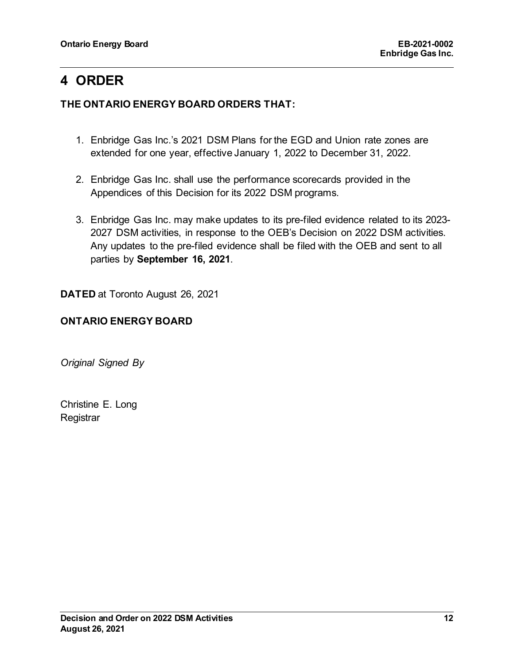# **4 ORDER**

#### **THE ONTARIO ENERGY BOARD ORDERS THAT:**

- 1. Enbridge Gas Inc.'s 2021 DSM Plans for the EGD and Union rate zones are extended for one year, effective January 1, 2022 to December 31, 2022.
- 2. Enbridge Gas Inc. shall use the performance scorecards provided in the Appendices of this Decision for its 2022 DSM programs.
- 3. Enbridge Gas Inc. may make updates to its pre-filed evidence related to its 2023- 2027 DSM activities, in response to the OEB's Decision on 2022 DSM activities. Any updates to the pre-filed evidence shall be filed with the OEB and sent to all parties by **September 16, 2021**.

**DATED** at Toronto August 26, 2021

#### **ONTARIO ENERGY BOARD**

*Original Signed By*

Christine E. Long **Registrar**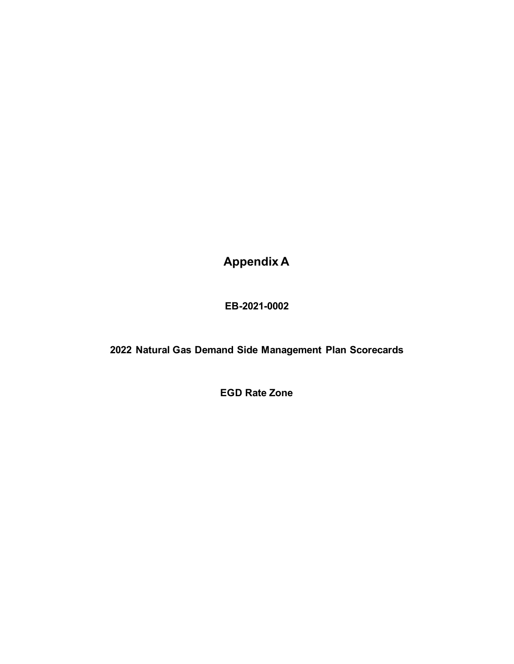**Appendix A**

**EB-2021-0002**

**2022 Natural Gas Demand Side Management Plan Scorecards**

**EGD Rate Zone**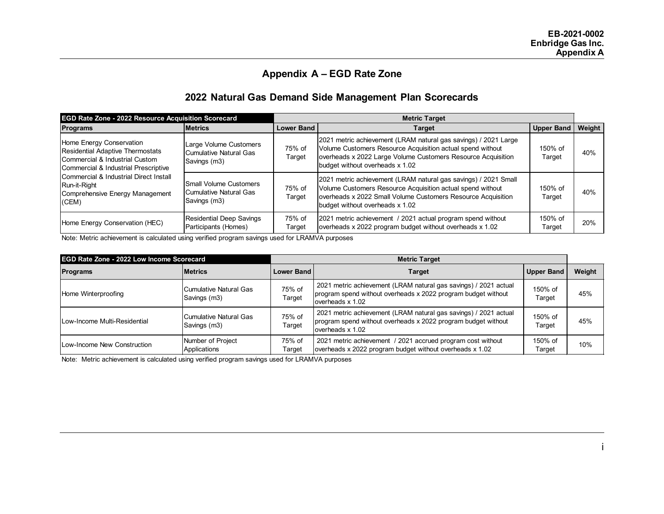#### **Appendix A – EGD Rate Zone**

#### **2022 Natural Gas Demand Side Management Plan Scorecards**

| <b>EGD Rate Zone - 2022 Resource Acquisition Scorecard</b>                                                                                                                                                                                             |                                                                         | <b>Metric Target</b> |                                                                                                                                                                                                                                  |                   |               |
|--------------------------------------------------------------------------------------------------------------------------------------------------------------------------------------------------------------------------------------------------------|-------------------------------------------------------------------------|----------------------|----------------------------------------------------------------------------------------------------------------------------------------------------------------------------------------------------------------------------------|-------------------|---------------|
| <b>Programs</b>                                                                                                                                                                                                                                        | <b>Metrics</b>                                                          | <b>Lower Band</b>    | Target                                                                                                                                                                                                                           | <b>Upper Band</b> | <b>Weight</b> |
| Home Energy Conservation<br>Residential Adaptive Thermostats<br><b>I</b> Commercial & Industrial Custom_<br>Commercial & Industrial Prescriptive<br>Commercial & Industrial Direct Install<br>Run-it-Right<br>Comprehensive Energy Management<br>(CEM) | Large Volume Customers<br>Cumulative Natural Gas<br>Savings (m3)        | 75% of<br>Target     | 2021 metric achievement (LRAM natural gas savings) / 2021 Large<br>Volume Customers Resource Acquisition actual spend without<br>overheads x 2022 Large Volume Customers Resource Acquisition<br>budget without overheads x 1.02 | 150% of<br>Target | 40%           |
|                                                                                                                                                                                                                                                        | <b>Small Volume Customers</b><br>Cumulative Natural Gas<br>Savings (m3) | 75% of<br>Target     | 2021 metric achievement (LRAM natural gas savings) / 2021 Small<br>Volume Customers Resource Acquisition actual spend without<br>overheads x 2022 Small Volume Customers Resource Acquisition<br>budget without overheads x 1.02 | 150% of<br>Target | 40%           |
| Home Energy Conservation (HEC)                                                                                                                                                                                                                         | <b>Residential Deep Savings</b><br>Participants (Homes)                 | 75% of<br>Target     | 2021 metric achievement / 2021 actual program spend without<br>overheads x 2022 program budget without overheads x 1.02                                                                                                          | 150% of<br>Target | 20%           |

Note: Metric achievement is calculated using verified program savings used for LRAMVA purposes

| <b>EGD Rate Zone - 2022 Low Income Scorecard</b> |                                        | <b>Metric Target</b> |                                                                                                                                                        |                   |        |
|--------------------------------------------------|----------------------------------------|----------------------|--------------------------------------------------------------------------------------------------------------------------------------------------------|-------------------|--------|
| <b>Programs</b>                                  | <b>Metrics</b>                         | <b>Lower Band</b>    | <b>Target</b>                                                                                                                                          | <b>Upper Band</b> | Weight |
| Home Winterproofing                              | Cumulative Natural Gas<br>Savings (m3) | 75% of<br>Target     | 2021 metric achievement (LRAM natural gas savings) / 2021 actual<br>program spend without overheads x 2022 program budget without<br>loverheads x 1.02 | 150% of<br>Tarqet | 45%    |
| Low-Income Multi-Residential                     | Cumulative Natural Gas<br>Savings (m3) | 75% of<br>Target     | 2021 metric achievement (LRAM natural gas savings) / 2021 actual<br>program spend without overheads x 2022 program budget without<br>loverheads x 1.02 | 150% of<br>Target | 45%    |
| Low-Income New Construction                      | Number of Project<br>Applications      | 75% of<br>Target     | 2021 metric achievement / 2021 accrued program cost without<br>overheads x 2022 program budget without overheads x 1.02                                | 150% of<br>Target | 10%    |

Note: Metric achievement is calculated using verified program savings used for LRAMVA purposes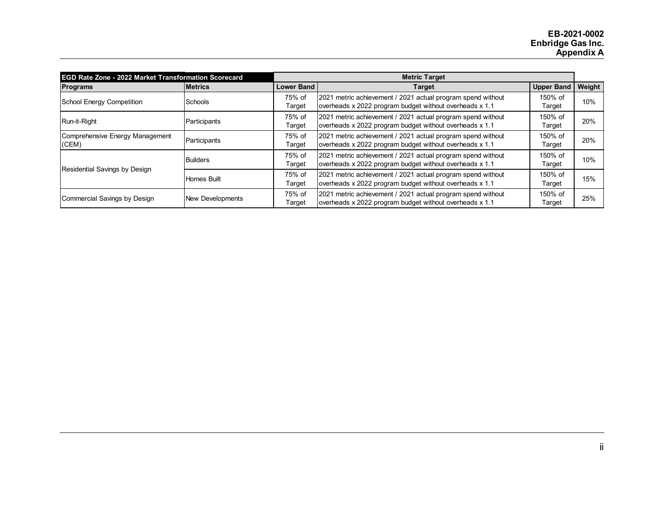| <b>EGD Rate Zone - 2022 Market Transformation Scorecard</b> |                  | <b>Metric Target</b> |                                                                                                                        |                   |        |
|-------------------------------------------------------------|------------------|----------------------|------------------------------------------------------------------------------------------------------------------------|-------------------|--------|
| <b>Programs</b>                                             | <b>Metrics</b>   | <b>Lower Band</b>    | <b>Target</b>                                                                                                          | <b>Upper Band</b> | Weight |
| School Energy Competition                                   | Schools          | 75% of<br>Target     | 2021 metric achievement / 2021 actual program spend without<br>overheads x 2022 program budget without overheads x 1.1 | 150% of<br>Target | 10%    |
| Run-it-Right                                                | Participants     | 75% of<br>Target     | 2021 metric achievement / 2021 actual program spend without<br>overheads x 2022 program budget without overheads x 1.1 | 150% of<br>Target | 20%    |
| Comprehensive Energy Management<br>(CEM)                    | Participants     | 75% of<br>Target     | 2021 metric achievement / 2021 actual program spend without<br>overheads x 2022 program budget without overheads x 1.1 | 150% of<br>Target | 20%    |
| Residential Savings by Design                               | <b>Builders</b>  | 75% of<br>Target     | 2021 metric achievement / 2021 actual program spend without<br>overheads x 2022 program budget without overheads x 1.1 | 150% of<br>Target | 10%    |
|                                                             | Homes Built      | 75% of<br>Target     | 2021 metric achievement / 2021 actual program spend without<br>overheads x 2022 program budget without overheads x 1.1 | 150% of<br>Target | 15%    |
| Commercial Savings by Design                                | New Developments | 75% of<br>Target     | 2021 metric achievement / 2021 actual program spend without<br>overheads x 2022 program budget without overheads x 1.1 | 150% of<br>Target | 25%    |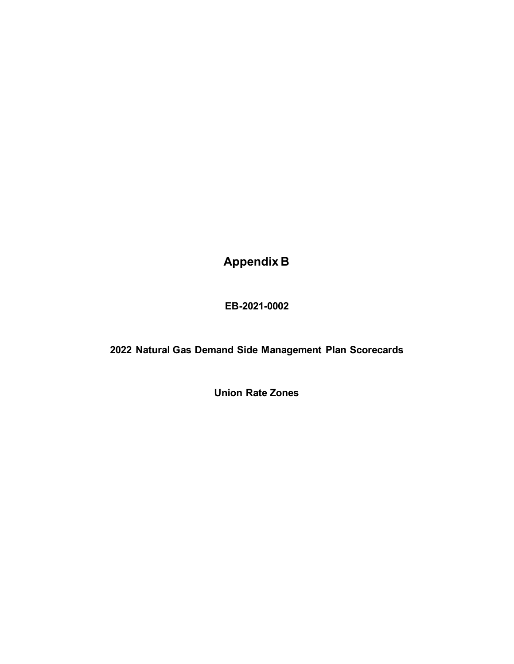**Appendix B**

**EB-2021-0002**

**2022 Natural Gas Demand Side Management Plan Scorecards**

**Union Rate Zones**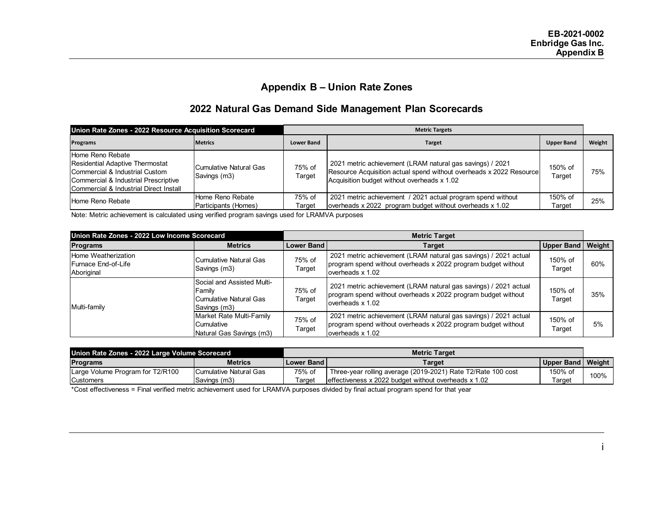#### **Appendix B – Union Rate Zones**

#### **2022 Natural Gas Demand Side Management Plan Scorecards**

| Union Rate Zones - 2022 Resource Acquisition Scorecard                                                                                                                         |                                          | <b>Metric Targets</b> |                                                                                                                                                                                 |                   |        |
|--------------------------------------------------------------------------------------------------------------------------------------------------------------------------------|------------------------------------------|-----------------------|---------------------------------------------------------------------------------------------------------------------------------------------------------------------------------|-------------------|--------|
| <b>Programs</b>                                                                                                                                                                | <b>Metrics</b>                           | <b>Lower Band</b>     | <b>Target</b>                                                                                                                                                                   | <b>Upper Band</b> | Weight |
| Home Reno Rebate<br><b>Residential Adaptive Thermostat</b><br>Commercial & Industrial Custom<br>Commercial & Industrial Prescriptive<br>Commercial & Industrial Direct Install | Cumulative Natural Gas<br>Savings (m3)   | 75% of<br>Target      | 2021 metric achievement (LRAM natural gas savings) / 2021<br>Resource Acquisition actual spend without overheads x 2022 Resource<br>Acquisition budget without overheads x 1.02 | 150% of<br>Target | 75%    |
| Home Reno Rebate                                                                                                                                                               | Home Reno Rebate<br>Participants (Homes) | 75% of<br>Target      | 2021 metric achievement / 2021 actual program spend without<br>overheads x 2022 program budget without overheads x 1.02                                                         | 150% of<br>Target | 25%    |

Note: Metric achievement is calculated using verified program savings used for LRAMVA purposes

| Union Rate Zones - 2022 Low Income Scorecard                     |                                                                                | <b>Metric Target</b> |                                                                                                                                                       |                     |     |
|------------------------------------------------------------------|--------------------------------------------------------------------------------|----------------------|-------------------------------------------------------------------------------------------------------------------------------------------------------|---------------------|-----|
| <b>Programs</b>                                                  | <b>Metrics</b>                                                                 | <b>Lower Band</b>    | <b>Target</b>                                                                                                                                         | Upper Band   Weight |     |
| Home Weatherization<br><b>IFurnace End-of-Life</b><br>Aboriginal | <b>I</b> Cumulative Natural Gas<br>Savings (m3)                                | 75% of<br>Target     | 2021 metric achievement (LRAM natural gas savings) / 2021 actual<br>program spend without overheads x 2022 program budget without<br>overheads x 1.02 | 150% of<br>Target   | 60% |
| Multi-family                                                     | Social and Assisted Multi-<br>Family<br>Cumulative Natural Gas<br>Savings (m3) | 75% of<br>Target     | 2021 metric achievement (LRAM natural gas savings) / 2021 actual<br>program spend without overheads x 2022 program budget without<br>overheads x 1.02 | 150% of<br>Target   | 35% |
|                                                                  | Market Rate Multi-Family<br>Cumulative<br>Natural Gas Savings (m3)             | 75% of<br>Target     | 2021 metric achievement (LRAM natural gas savings) / 2021 actual<br>program spend without overheads x 2022 program budget without<br>overheads x 1.02 | 150% of<br>Target   | 5%  |

| Union Rate Zones - 2022 Large Volume Scorecard |                        | <b>Metric Target</b> |                                                              |                     |      |
|------------------------------------------------|------------------------|----------------------|--------------------------------------------------------------|---------------------|------|
| <b>Programs</b>                                | <b>Metrics</b>         | l Lower Band I       | Target                                                       | Upper Band   Weight |      |
| Large Volume Program for T2/R100               | Cumulative Natural Gas | 75% of               | Three-year rolling average (2019-2021) Rate T2/Rate 100 cost | 150% of             | 100% |
| <b>Customers</b>                               | Savings (m3)           | Target               | leffectiveness x 2022 budget without overheads x 1.02        | ⊺arɑet              |      |

\*Cost effectiveness = Final verified metric achievement used for LRAMVA purposes divided by final actual program spend for that year